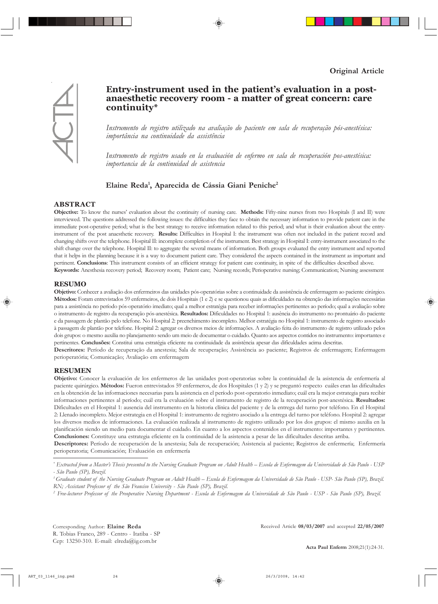

# Entry-instrument used in the patient's evaluation in a post**anaesthetic recovery room - a matter of great concern: care continuity\***

Instrumento de registro utilizado na avaliação do paciente em sala de recuperação pós-anestésica: *importância na continuidade da assistência* 

Instrumento de registro usado en la evaluación de enfermo en sala de recuperación pos-anestésica: *importancia de la continuidad de asistencia*

# Elaine Reda<sup>1</sup>, Aparecida de Cássia Giani Peniche<sup>2</sup>

## **ABSTRACT**

**Objective:** To know the nursesí evaluation about the continuity of nursing care. **Methods:** Fifty-nine nurses from two Hospitals (I and II) were interviewed. The questions addressed the following issues: the difficulties they face to obtain the necessary information to provide patient care in the immediate post-operative period; what is the best strategy to receive information related to this period; and what is their evaluation about the entryinstrument of the post anaesthetic recovery. **Results:** Difficulties in Hospital I: the instrument was often not included in the patient record and changing shifts over the telephone. Hospital II: incomplete completion of the instrument. Best strategy in Hospital I: entry-instrument associated to the shift change over the telephone. Hospital II: to aggregate the several means of information. Both groups evaluated the entry instrument and reported that it helps in the planning because it is a way to document patient care. They considered the aspects contained in the instrument as important and pertinent. **Conclusions**: This instrument consists of an efficient strategy for patient care continuity, in spite of the difficulties described above. **Keywords:** Anesthesia recovery period; Recovery room; Patient care; Nursing records; Perioperative nursing; Communication; Nursing assessment

# **RESUMO**

Objetivo: Conhecer a avaliação dos enfermeiros das unidades pós-operatórias sobre a continuidade da assistência de enfermagem ao paciente cirúrgico. Métodos: Foram entrevistados 59 enfermeiros, de dois Hospitais (1 e 2) e se questionou quais as dificuldades na obtenção das informações necessárias para a assistência no período pós-operatório imediato; qual a melhor estratégia para receber informações pertinentes ao período; qual a avaliação sobre o instrumento de registro da recuperação pós-anestésica. Resultados: Dificuldades no Hospital 1: ausência do instrumento no prontuário do paciente e da passagem de plantão pelo telefone. No Hospital 2: preenchimento incompleto. Melhor estratégia no Hospital 1: instrumento de registro associado à passagem de plantão por telefone. Hospital 2: agregar os diversos meios de informações. A avaliação feita do instrumento de registro utilizado pelos dois grupos: o mesmo auxilia no planejamento sendo um meio de documentar o cuidado. Quanto aos aspectos contidos no instrumento: importantes e pertinentes. **Conclusões:** Constitui uma estratégia eficiente na continuidade da assistência apesar das dificuldades acima descritas.

Descritores: Período de recuperação da anestesia; Sala de recuperação; Assistência ao paciente; Registros de enfermagem; Enfermagem perioperatória; Comunicação; Avaliação em enfermagem

## **RESUMEN**

Objetivo: Conocer la evaluación de los enfermeros de las unidades post-operatorias sobre la continuidad de la asistencia de enfermería al paciente quirúrgico. Métodos: Fueron entrevistados 59 enfermeros, de dos Hospitales (1 y 2) y se preguntó respecto cuáles eran las dificultades en la obtención de las informaciones necesarias para la asistencia en el período post-operatorio inmediato; cuál era la mejor estrategia para recibir informaciones pertinentes al período; cuál era la evaluación sobre el instrumento de registro de la recuperación post-anestésica. Resultados: Dificultades en el Hospital 1: ausencia del instrumento en la historia clínica del paciente y de la entrega del turno por teléfono. En el Hospital 2: Llenado incompleto. Mejor estrategia en el Hospital 1: instrumento de registro asociado a la entrega del turno por telÈfono. Hospital 2: agregar los diversos medios de informaciones. La evaluación realizada al instrumento de registro utilizado por los dos grupos: el mismo auxilia en la planificación siendo un medio para documentar el cuidado. En cuanto a los aspectos contenidos en el instrumento: importantes y pertinentes. **Conclusiones:** Constituye una estrategia eficiente en la continuidad de la asistencia a pesar de las dificultades descritas arriba.

Descriptores: Período de recuperación de la anestesia; Sala de recuperación; Asistencia al paciente; Registros de enfermería; Enfermería perioperatoria; Comunicación; Evaluación en enfermería

<sup>\*</sup> Extracted from a Master's Thesis presented to the Nursing Graduate Program on Adult Health – Escola de Enfermagem da Universidade de São Paulo - USP *- S"o Paulo (SP), Brazil.*

<sup>&</sup>lt;sup>1</sup> Graduate student of the Nursing Graduate Program on Adult Health – Escola de Enfermagem da Universidade de São Paulo - USP- São Paulo (SP), Brazil. *RN; Assistant Professor of the S"o Franciso University - S"o Paulo (SP), Brazil.*

*<sup>2</sup> Free-lecturer Professor of the Preoperative Nursing Department - Escola de Enfermagem da Universidade de S"o Paulo - USP - S"o Paulo (SP), Brazil.*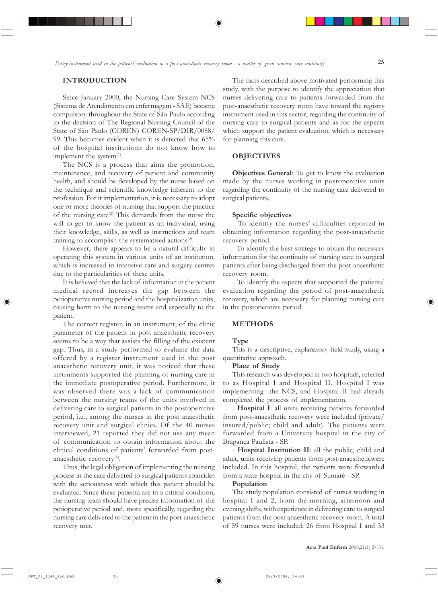# **INTRODUCTION**

Since January 2000, the Nursing Care System NCS (Sistema de Atendimento em enfermagem - SAE) became compulsory throughout the State of São Paulo according to the decision of The Regional Nursing Council of the State of São Paulo (COREN) COREN-SP/DIR/0088/ 99. This becomes evident when it is detected that 65% of the hospital institutions do not know how to implement the system $(1)$ .

The NCS is a process that aims the promotion, maintenance, and recovery of patient and community health, and should be developed by the nurse based on the technique and scientific knowledge inherent to the profession. For it implementation, it is necessary to adopt one or more theories of nursing that support the practice of the nursing care<sup>(2)</sup>. This demands from the nurse the will to get to know the patient as an individual, using their knowledge, skills, as well as instructions and team training to accomplish the systematised actions $(3)$ .

However, there appears to be a natural difficulty in operating this system in various units of an institution, which is increased in intensive care and surgery centres due to the particularities of these units.

It is believed that the lack of information in the patient medical record increases the gap between the perioperative nursing period and the hospitalization units, causing harm to the nursing teams and especially to the patient.

The correct register, in an instrument, of the clinic parameter of the patient in post anaesthetic recovery seems to be a way that assists the filling of the existent gap. Thus, in a study performed to evaluate the data offered by a register instrument used in the post anaesthetic recovery unit, it was noticed that these instruments supported the planning of nursing care in the immediate postoperative period. Furthermore, it was observed there was a lack of communication between the nursing teams of the units involved in delivering care to surgical patients in the postoperative period, i.e., among the nurses in the post anaesthetic recovery unit and surgical clinics. Of the 40 nurses interviewed, 21 reported they did not use any mean of communication to obtain information about the clinical conditions of patients' forwarded from postanaesthetic recovery $(4)$ .

Thus, the legal obligation of implementing the nursing process in the care delivered to surgical patients coincides with the seriousness with which this patient ahould be evaluated. Since these patienta are in a critical condition, the nursing team should have precise information of the perioperative period and, more specifically, regarding the nursing care delivered to the patient in the post-anaesthetic recovery unit.

The facts described above motivated performing this study, with the purpose to identify the appreciation that nurses delivering care to patients forwarded from the post-anaesthetic recovery room have toward the registry instrument used in this sector, regarding the continuity of nursing care to surgical patients and as for the aspects which support the patient evaluation, which is necessary for planning this care.

# **OBJECTIVES**

**Objectives General**: To get to know the evaluation made by the nurses working in postoperative units regarding the continuity of the nursing care delivered to surgical patients.

#### **Specific objectives**

- To identify the nurses' difficulties reported in obtaining information regarding the post-anaesthetic recovery period.

- To identify the best strategy to obtain the necessary information for the continuity of nursing care to surgical patients after being discharged from the post-anaesthetic recovery room.

- To identify the aspects that supported the patients' evaluation regarding the period of post-anaesthetic recovery, which are necessary for planning nursing care in the postoperative period.

#### **METHODS**

#### **Type**

This is a descriptive, explanatory field study, using a quantitative approach.

#### **Place of Study**

This research was developed in two hospitals, referred to as Hospital I and Hospital II. Hospital I was implementing the NCS, and Hospital II had already completed the process of implementation.

- **Hospital I**: all units receiving patients forwarded from post-anaesthetic recovery were included (private/ insured/public; child and adult). The patients were forwarded from a University hospital in the city of Bragança Paulista - SP.

- **Hospital Institution II**: all the public, child and adult, units receiving patients from post-anaestheticwere included. In this hospital, the patients were forwarded from a state hospital in the city of SumarÈ - SP.

#### **Population**

The study population consisted of nurses working in hospital 1 and 2, from the morning, afternoon and evening shifts, with experience in delivering care to surgical patients from the post anaesthetic recovery room. A total of 59 nurses were included; 26 from Hospital I and 33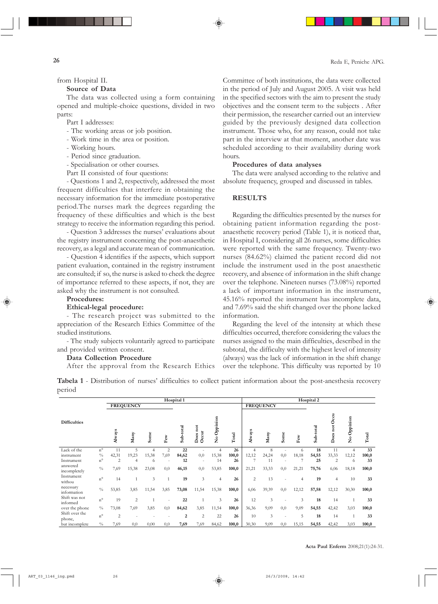from Hospital II.

# **Source of Data**

The data was collected using a form containing opened and multiple-choice questions, divided in two parts:

Part I addresses:

- The working areas or job position.
- Work time in the area or position.
- Working hours.
- Period since graduation.
- Specialisation or other courses.
- Part II consisted of four questions:

- Questions 1 and 2, respectively, addressed the most frequent difficulties that interfere in obtaining the necessary information for the immediate postoperative period.The nurses mark the degrees regarding the frequency of these difficulties and which is the best strategy to receive the information regarding this period.

- Question 3 addresses the nurses' evaluations about the registry instrument concerning the post-anaesthetic recovery, as a legal and accurate mean of communication.

- Question 4 identifies if the aspects, which support patient evaluation, contained in the registry instrument are consulted; if so, the nurse is asked to check the degree of importance referred to these aspects, if not, they are asked why the instrument is not consulted.

## **Procedures:**

## **Ethical-legal procedure:**

- The research project was submitted to the appreciation of the Research Ethics Committee of the studied institutions.

- The study subjects voluntarily agreed to participate and provided written consent.

## **Data Collection Procedure**

After the approval from the Research Ethics

Committee of both institutions, the data were collected in the period of July and August 2005. A visit was held in the specified sectors with the aim to present the study objectives and the consent term to the subjects . After their permission, the researcher carried out an interview guided by the previously designed data collection instrument. Those who, for any reason, could not take part in the interview at that moment, another date was scheduled according to their availability during work hours.

## **Procedures of data analyses**

The data were analysed according to the relative and absolute frequency, grouped and discussed in tables.

# **RESULTS**

Regarding the difficulties presented by the nurses for obtaining patient information regarding the postanaesthetic recovery period (Table 1), it is noticed that, in Hospital I, considering all 26 nurses, some difficulties were reported with the same frequency. Twenty-two nurses (84.62%) claimed the patient record did not include the instrument used in the post anaesthetic recovery, and absence of information in the shift change over the telephone. Nineteen nurses (73.08%) reported a lack of important information in the instrument, 45.16% reported the instrument has incomplete data, and 7.69% said the shift changed over the phone lacked information.

Regarding the level of the intensity at which these difficulties occurred, therefore considering the values the nurses assigned to the main difficulties, described in the subtotal, the difficulty with the highest level of intensity (always) was the lack of information in the shift change over the telephone. This difficulty was reported by 10

**Tabela 1** - Distribution of nurses' difficulties to collect patient information about the post-anesthesia recovery period

|                           |                 |                |                  |                |                   | Hospital 1        |                                |                         |       | Hospital 2     |                  |      |               |           |                                  |                                |       |
|---------------------------|-----------------|----------------|------------------|----------------|-------------------|-------------------|--------------------------------|-------------------------|-------|----------------|------------------|------|---------------|-----------|----------------------------------|--------------------------------|-------|
|                           |                 |                | <b>FREQUENCY</b> |                |                   |                   |                                |                         |       |                | <b>FREQUENCY</b> |      |               |           |                                  |                                |       |
| <b>Difficulties</b>       |                 | Always         | Many             | Some           | ${\rm F}{\rm ew}$ | -total<br>غ<br>ون | not<br>Does<br>O <sub>cm</sub> | Oppinion<br>$\tilde{z}$ | Total | s<br>Always    | Many             | Some | $_{\rm{Fev}}$ | Sub-total | Occu<br>$_{\rm not}$<br>oes<br>≏ | Oppinion<br>$\mathbf{\hat{z}}$ | Total |
| Lack of the               | $n^{\circ}$     | 11             | 5                | $\overline{4}$ | $\overline{2}$    | 22                |                                | $\overline{4}$          | 26    | $\overline{4}$ | 8                |      | 6             | 18        | 11                               | $\overline{4}$                 | 33    |
| instrument                | $^{0}\!/_{\!0}$ | 42,31          | 19,23            | 15,38          | 7,69              | 84,62             | 0,0                            | 15,38                   | 100,0 | 12,12          | 24,24            | 0,0  | 18,18         | 54,55     | 33,33                            | 12,12                          | 100,0 |
| Instrument                | $n^{\circ}$     | 2              | 4                | 6              |                   | 12                | ÷                              | 14                      | 26    | 7              | 11               |      |               | 25        | $\overline{2}$                   | 6                              | 33    |
| answered<br>incompletely  | $\frac{0}{0}$   | 7,69           | 15,38            | 23,08          | 0,0               | 46,15             | 0,0                            | 53,85                   | 100,0 | 21,21          | 33,33            | 0,0  | 21,21         | 75,76     | 6,06                             | 18,18                          | 100,0 |
| Instrument<br>withou      | $n^{\circ}$     | 14             |                  | $\mathfrak{Z}$ |                   | 19                | 3                              | $\overline{4}$          | 26    | 2              | 13               |      | 4             | 19        | $\overline{4}$                   | 10                             | 33    |
| necessary<br>information  | $\frac{0}{0}$   | 53,85          | 3,85             | 11,54          | 3,85              | 73,08             | 11,54                          | 15,38                   | 100,0 | 6,06           | 39,39            | 0,0  | 12,12         | 57,58     | 12,12                            | 30,30                          | 100,0 |
| Shift was not<br>informed | $n^{\circ}$     | 19             | $\overline{2}$   |                |                   | 22                |                                | 3                       | 26    | 12             | 3                |      | 3             | 18        | 14                               |                                | 33    |
| over the phone            | $\frac{0}{0}$   | 73,08          | 7,69             | 3,85           | 0,0               | 84,62             | 3,85                           | 11,54                   | 100,0 | 36,36          | 9,09             | 0,0  | 9,09          | 54,55     | 42,42                            | 3,03                           | 100,0 |
| Shift over the<br>phone,  | $n^{\circ}$     | $\overline{c}$ |                  |                |                   | $\overline{2}$    | $\overline{2}$                 | 22                      | 26    | 10             | 3                |      | 5             | 18        | 14                               |                                | 33    |
| but incomplete            | $\frac{0}{0}$   | 7,69           | 0,0              | 0,00           | 0,0               | 7,69              | 7,69                           | 84,62                   | 100,0 | 30,30          | 9,09             | 0,0  | 15,15         | 54,55     | 42,42                            | 3,03                           | 100,0 |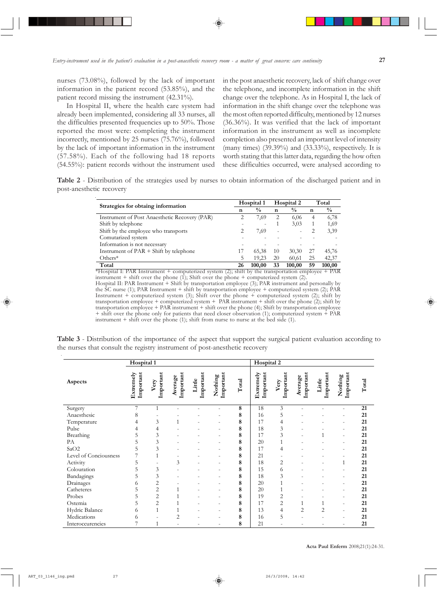nurses (73.08%), followed by the lack of important information in the patient record (53.85%), and the patient record missing the instrument (42.31%).

In Hospital II, where the health care system had already been implemented, considering all 33 nurses, all the difficulties presented frequencies up to 50%. Those reported the most were: completing the instrument incorrectly, mentioned by 25 nurses (75.76%), followed by the lack of important information in the instrument (57.58%). Each of the following had 18 reports (54.55%): patient records without the instrument used in the post anaesthetic recovery, lack of shift change over the telephone, and incomplete information in the shift change over the telephone. As in Hospital I, the lack of information in the shift change over the telephone was the most often reported difficulty, mentioned by 12 nurses (36.36%). It was verified that the lack of important information in the instrument as well as incomplete completion also presented an important level of intensity (many times) (39.39%) and (33.33%), respectively. It is worth stating that this latter data, regarding the how often these difficulties occurred, were analysed according to

**Table 2** - Distribution of the strategies used by nurses to obtain information of the discharged patient and in post-anesthetic recovery

| Strategies for obtaing information             |    | Hospital 1     |                          | Hospital 2    | Total |               |  |
|------------------------------------------------|----|----------------|--------------------------|---------------|-------|---------------|--|
|                                                | n  | $\frac{0}{0}$  | $\mathbf n$              | $\frac{0}{0}$ | n     | $\frac{0}{0}$ |  |
| Instrument of Post Anaesthetic Recovery (PAR)  |    | 7,69           | 2                        | 6,06          | 4     | 6,78          |  |
| Shift by telephone                             |    | $\overline{a}$ |                          | 3,03          |       | 1,69          |  |
| Shift by the employee who transports           |    | 7,69           | $\overline{\phantom{0}}$ |               |       | 3,39          |  |
| Comutarized system                             |    |                |                          |               |       |               |  |
| Information is not necessary                   |    |                |                          |               |       |               |  |
| Instrument of $PAR + Shift$ by telephone       | 17 | 65,38          | 10                       | 30,30         | 27    | 45,76         |  |
| Others*                                        |    | 19.23          | 20                       | 60,61         | 25    | 42,37         |  |
| Total<br>$ -$<br>.<br>$\overline{\phantom{a}}$ | 26 | 100.00         | 33                       | 100,00        | 59    | 100,00<br>--  |  |

\*Hospital I: PAR Instrument + computerized system (2); shift by the transportation employee + PAR instrument  $+$  shift over the phone (1); Shift over the phone  $+$  computerized system (2).

Hospital II: PAR Instrument + Shift by transportation employee (3); PAR instrument and personally by the SC nurse (1); PAR Instrument + shift by transportation employee + computerized system (2); PAR Instrument + computerized system (3); Shift over the phone + computerized system (2); shift by transportation employee + computerized system + PAR instrument + shift over the phone (2); shift by transportation employee + PAR instrument + shift over the phone (4); Shift by transportation employee + shift over the phone only for patients that need closer observation (1); computerized system + PAR instrument  $+$  shift over the phone (1); shift from nurse to nurse at the bed side (1).

|                       | Hospital 1             |                   |                      |                     |                      |       | Hospital 2             |                          |                      |                     |                          |       |
|-----------------------|------------------------|-------------------|----------------------|---------------------|----------------------|-------|------------------------|--------------------------|----------------------|---------------------|--------------------------|-------|
| Aspects               | Extremely<br>Important | Important<br>Very | Important<br>Average | Important<br>Little | Important<br>Nothing | Total | Extremely<br>Important | Important<br>Very        | Important<br>Average | Important<br>Little | Important<br>Nothing     | Total |
| Surgery               | 7                      | 1                 |                      |                     |                      | 8     | 18                     | 3                        | $\overline{a}$       | $\overline{a}$      | $\overline{a}$           | 21    |
| Anaesthesic           | 8                      |                   |                      |                     |                      | 8     | 16                     | 5                        |                      |                     | $\overline{a}$           | 21    |
| Temperature           | 4                      | 3                 | 1                    |                     |                      | 8     | 17                     | 4                        |                      |                     | $\overline{\phantom{a}}$ | 21    |
| Pulse                 | 4                      | 4                 |                      |                     |                      | 8     | 18                     | 3                        |                      |                     | $\overline{\phantom{a}}$ | 21    |
| Breathing             | 5                      | 3                 |                      |                     |                      | 8     | 17                     | 3                        | $\overline{a}$       |                     | $\overline{\phantom{a}}$ | 21    |
| PA                    | 5                      | 3                 |                      |                     |                      | 8     | 20                     | $\mathbf{1}$             |                      |                     | $\overline{a}$           | 21    |
| SaO2                  | 5                      | 3                 |                      |                     | $\overline{a}$       | 8     | 17                     | $\overline{4}$           |                      |                     | $\overline{\phantom{a}}$ | 21    |
| Level of Conciousness |                        | $\mathbf{1}$      |                      |                     |                      | 8     | 21                     | $\overline{\phantom{a}}$ |                      |                     | $\overline{\phantom{a}}$ | 21    |
| Activity              | 5                      | $\overline{a}$    | 3                    |                     | $\overline{a}$       | 8     | 18                     | 2                        |                      | $\overline{a}$      | 1                        | 21    |
| Colouration           | 5                      | 3                 |                      |                     |                      | 8     | 15                     | 6                        |                      |                     | $\overline{a}$           | 21    |
| Bandagings            | 5                      | 3                 |                      |                     |                      | 8     | 18                     | 3                        |                      |                     | $\overline{a}$           | 21    |
| Drainages             | 6                      | $\overline{2}$    |                      |                     |                      | 8     | 20                     | $\mathbf{1}$             |                      |                     | $\overline{a}$           | 21    |
| Catheteres            | 5                      | $\overline{c}$    |                      |                     |                      | 8     | 20                     | $\mathbf{1}$             |                      |                     | $\overline{a}$           | 21    |
| Probes                | 5                      | $\overline{c}$    |                      |                     |                      | 8     | 19                     | $\overline{c}$           |                      |                     | $\overline{a}$           | 21    |
| Ostemia               | 5                      | $\overline{c}$    |                      |                     |                      | 8     | 17                     | $\overline{c}$           |                      |                     | $\overline{a}$           | 21    |
| Hydric Balance        | 6                      | $\mathbf{1}$      |                      |                     |                      | 8     | 13                     | $\overline{4}$           | $\overline{c}$       | $\overline{2}$      | $\overline{\phantom{a}}$ | 21    |
| Medications           | 6                      | $\overline{a}$    | 2                    |                     |                      | 8     | 16                     | 5                        |                      |                     | $\overline{\phantom{a}}$ | 21    |
| Interoccurencies      |                        |                   |                      |                     |                      | 8     | 21                     |                          |                      |                     | $\overline{a}$           | 21    |

**Table 3** - Distribution of the importance of the aspect that support the surgical patient evaluation according to the nurses that consult the registry instrument of post-anesthetic recovery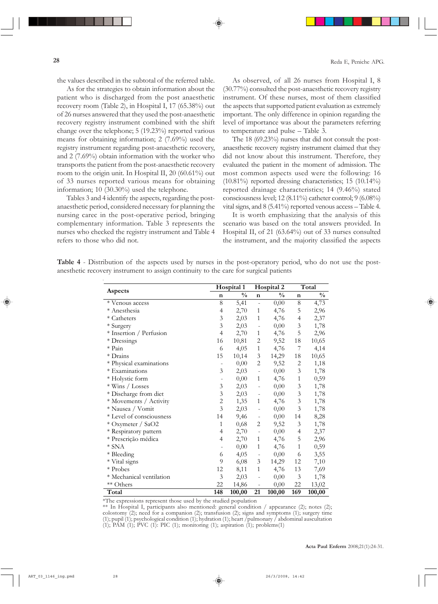the values described in the subtotal of the referred table.

As for the strategies to obtain information about the patient who is discharged from the post anaesthetic recovery room (Table 2), in Hospital I, 17 (65.38%) out of 26 nurses answered that they used the post-anaesthetic recovery registry instrument combined with the shift change over the telephone; 5 (19.23%) reported various means for obtaining information; 2 (7.69%) used the registry instrument regarding post-anaesthetic recovery, and 2 (7.69%) obtain information with the worker who transports the patient from the post-anaesthetic recovery room to the origin unit. In Hospital II, 20 (60.61%) out of 33 nurses reported various means for obtaining information; 10 (30.30%) used the telephone.

Tables 3 and 4 identify the aspects, regarding the postanaesthetic period, considered necessary for planning the nursing carec in the post-operative period, bringing complementary information. Table 3 represents the nurses who checked the registry instrument and Table 4 refers to those who did not.

As observed, of all 26 nurses from Hospital I, 8 (30.77%) consulted the post-anaesthetic recovery registry instrument. Of these nurses, most of them classified the aspects that supported patient evaluation as extremely important. The only difference in opinion regarding the level of importance was about the parameters referring to temperature and pulse  $-$  Table 3.

The 18 (69.23%) nurses that did not consult the postanaesthetic recovery registry instrument claimed that they did not know about this instrument. Therefore, they evaluated the patient in the moment of admission. The most common aspects used were the following: 16  $(10.81\%)$  reported dressing characteristics; 15  $(10.14\%)$ reported drainage characteristics; 14 (9.46%) stated consciousness level; 12 (8.11%) catheter control; 9 (6.08%) vital signs, and  $8(5.41\%)$  reported venous access  $-$  Table 4.

It is worth emphasizing that the analysis of this scenario was based on the total answers provided. In Hospital II, of 21 (63.64%) out of 33 nurses consulted the instrument, and the majority classified the aspects

|                          |                | Hospital 1    |                              | Hospital 2    | Total          |               |  |
|--------------------------|----------------|---------------|------------------------------|---------------|----------------|---------------|--|
| Aspects                  | $\mathbf n$    | $\frac{0}{0}$ | $\bf n$                      | $\frac{0}{0}$ | $\bf n$        | $\frac{0}{0}$ |  |
| * Venous access          | 8              | 5,41          | $\overline{\phantom{0}}$     | 0,00          | $\,8\,$        | 4,73          |  |
| * Anesthesia             | $\overline{4}$ | 2,70          | $\mathbf{1}$                 | 4,76          | 5              | 2,96          |  |
| * Catheters              | $\mathfrak{Z}$ | 2,03          | $\mathbf{1}$                 | 4,76          | 4              | 2,37          |  |
| $^\ast$ Surgery          | 3              | 2,03          | $\overline{\phantom{0}}$     | 0,00          | $\mathfrak{Z}$ | 1,78          |  |
| * Insertion / Perfusion  | 4              | 2,70          | 1                            | 4,76          | 5              | 2,96          |  |
| * Dressings              | 16             | 10,81         | $\overline{c}$               | 9,52          | 18             | 10,65         |  |
| $\ast$ Pain              | 6              | 4,05          | $\mathbf{1}$                 | 4,76          | 7              | 4,14          |  |
| * Drains                 | 15             | 10,14         | $\mathfrak{Z}$               | 14,29         | 18             | 10,65         |  |
| * Physical examinations  |                | 0,00          | $\overline{2}$               | 9,52          | $\overline{2}$ | 1,18          |  |
| * Examinations           | 3              | 2,03          | $\overline{\phantom{0}}$     | 0,00          | $\mathfrak{Z}$ | 1,78          |  |
| * Holystic form          |                | 0,00          | $\mathbf{1}$                 | 4,76          | $\mathbf{1}$   | 0,59          |  |
| * Wins / Losses          | 3              | 2,03          | $\overline{\phantom{0}}$     | 0,00          | $\mathfrak{Z}$ | 1,78          |  |
| * Discharge from diet    | 3              | 2,03          | -                            | 0,00          | $\mathfrak{Z}$ | 1,78          |  |
| * Movements / Activity   | $\overline{c}$ | 1,35          | $\mathbf{1}$                 | 4,76          | $\mathfrak{Z}$ | 1,78          |  |
| * Nausea / Vomit         | $\overline{3}$ | 2,03          | $\overline{\phantom{0}}$     | 0,00          | $\overline{3}$ | 1,78          |  |
| * Level of consciousness | 14             | 9,46          | $\overline{\phantom{0}}$     | 0,00          | 14             | 8,28          |  |
| * Oxymeter / SaO2        | $\mathbf{1}$   | 0,68          | $\overline{c}$               | 9,52          | 3              | 1,78          |  |
| * Respiratory pattern    | $\overline{4}$ | 2,70          | $\qquad \qquad \blacksquare$ | 0,00          | 4              | 2,37          |  |
| * Prescrição médica      | 4              | 2,70          | 1                            | 4,76          | 5              | 2,96          |  |
| $\ast$ SNA               |                | 0,00          | $\mathbf{1}$                 | 4,76          | $\mathbf{1}$   | 0,59          |  |
| * Bleeding               | 6              | 4,05          | -                            | 0,00          | 6              | 3,55          |  |
| * Vital signs            | 9              | 6,08          | $\ensuremath{\mathfrak{Z}}$  | 14,29         | 12             | 7,10          |  |
| * Probes                 | 12             | 8,11          | 1                            | 4,76          | 13             | 7,69          |  |
| * Mechanical ventilation | $\mathfrak{Z}$ | 2,03          | $\overline{\phantom{0}}$     | 0,00          | $\mathfrak{Z}$ | 1,78          |  |
| $\ast\ast$ Others        | 22             | 14,86         | $\overline{\phantom{0}}$     | 0,00          | 22             | 13,02         |  |
| Total                    | 148            | 100,00        | 21                           | 100,00        | 169            | 100,00        |  |

**Table 4** - Distribution of the aspects used by nurses in the post-operatory period, who do not use the postanesthetic recovery instrument to assign continuity to the care for surgical patients

\*The expressions represent those used by the studied population

\*\* In Hospital I, participants also mentioned: general condition / appearance (2); notes (2); colostomy (2); need for a companion (2); transfusion (2); signs and symptoms (1); surgery time (1); pupil (1); psychological condition (1); hydration (1); heart /pulmonary / abdominal auscultation  $(1)$ ; PAM  $(1)$ ; PVC  $(1)$ : PIC  $(1)$ ; monitoring  $(1)$ ; aspiration  $(1)$ ; problems $(1)$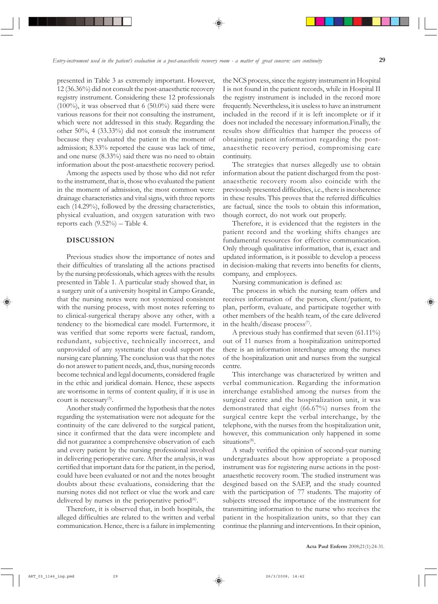presented in Table 3 as extremely important. However, 12 (36.36%) did not consult the post-anaesthetic recovery registry instrument. Considering these 12 professionals (100%), it was observed that 6 (50.0%) said there were various reasons for their not consulting the instrument, which were not addressed in this study. Regarding the other 50%, 4 (33.33%) did not consult the instrument because they evaluated the patient in the moment of admission; 8.33% reported the cause was lack of time, and one nurse (8.33%) said there was no need to obtain information about the post-anaesthetic recovery period.

Among the aspects used by those who did not refer to the instrument, that is, those who evaluated the patient in the moment of admission, the most common were: drainage characteristics and vital signs, with three reports each (14.29%), followed by the dressing characteristics, physical evaluation, and oxygen saturation with two reports each  $(9.52\%)$  – Table 4.

# **DISCUSSION**

Previous studies show the importance of notes and their difficulties of translating all the actions practised by the nursing professionals, which agrees with the results presented in Table 1. A particular study showed that, in a surgery unit of a university hospital in Campo Grande, that the nursing notes were not systemized consistent with the nursing process, with most notes referring to to clinical-surgerical therapy above any other, with a tendency to the biomedical care model. Furtermore, it was verified that some reports were factual, random, redundant, subjective, technically incorrect, and unprovided of any systematic that could support the nursing care planning. The conclusion was that the notes do not answer to patient needs, and, thus, nursing records become technical and legal documents, considered fragile in the ethic and juridical domain. Hence, these aspects are worrisome in terms of content quality, if it is use in court is necessary<sup>(5)</sup>.

Another study confirmed the hypothesis that the notes regarding the systematisation were not adequate for the continuity of the care delivered to the surgical patient, since it confirmed that the data were incomplete and did not guarantee a comprehensive observation of each and every patient by the nursing professional involved in delivering perioperative care. After the analysis, it was certified that important data for the patient, in the period, could have been evaluated or not and the notes brought doubts about these evaluations, considering that the nursing notes did not reflect or vlue the work and care delivered by nurses in the perioperative period $(6)$ .

Therefore, it is observed that, in both hospitals, the alleged difficulties are related to the written and verbal communication. Hence, there is a failure in implementing the NCS process, since the registry instrument in Hospital I is not found in the patient records, while in Hospital II the registry instrument is included in the record more frequently. Nevertheless, it is useless to have an instrument included in the record if it is left incomplete or if it does not included the necessary information.Finally, the results show difficulties that hamper the process of obtaining patient information regarding the postanaesthetic recovery period, compromising care continuity.

The strategies that nurses allegedly use to obtain information about the patient discharged from the postanaesthetic recovery room also coincide with the previously presented difficulties, i.e., there is incoherence in these results. This proves that the referred difficulties are factual, since the tools to obtain this information, though correct, do not work out properly.

Therefore, it is evidenced that the registers in the patient record and the working shifts changes are fundamental resources for effective communication. Only through qualitative information, that is, exact and updated information, is it possible to develop a process in decision-making that reverts into benefits for clients, company, and employees.

Nursing communication is defined as:

The process in which the nursing team offers and receives information of the person, client/patient, to plan, perform, evaluate, and participate together with other members of the health team, of the care delivered in the health/disease process $\sigma$ .

A previous study has confirmed that seven (61.11%) out of 11 nurses from a hospitalization unitreported there is an information interchange among the nurses of the hospitalization unit and nurses from the surgical centre.

This interchange was characterized by written and verbal communication. Regarding the information interchange established among the nurses from the surgical centre and the hospitalization unit, it was demonstrated that eight (66.67%) nurses from the surgical centre kept the verbal interchange, by the telephone, with the nurses from the hospitalization unit, however, this communication only happened in some situations<sup>(8)</sup>.

A study verified the opinion of second-year nursing undergraduates about how appropriate a proposed instrument was for registering nurse actions in the postanaesthetic recovery room. The studied instrument was desgined based on the SAEP, and the study counted with the participation of 77 students. The majority of subjects stressed the importance of the instrument for transmitting information to the nurse who receives the patient in the hospitalization units, so that they can continue the planning and interventions. In their opinion,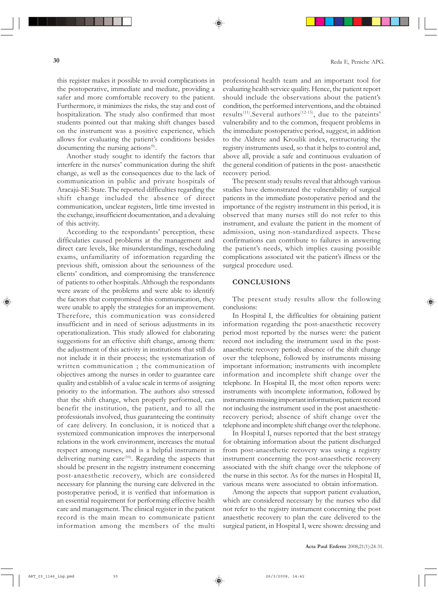this register makes it possible to avoid complications in the postoperative, immediate and mediate, providing a safer and more comfortable recovery to the patient. Furthermore, it minimizes the risks, the stay and cost of hospitalization. The study also confirmed that most students pointed out that making shift changes based on the instrument was a positive experience, which allows for evaluating the patient's conditions besides documenting the nursing actions<sup>(9)</sup>.

Another study sought to identify the factors that interfere in the nurses' communication during the shift change, as well as the consequences due to the lack of communication in public and private hospitals of Aracajú-SE State. The reported difficulties regarding the shift change included the absence of direct communication, unclear registers, little time invested in the exchange, insufficient documentation, and a devaluing of this activity.

According to the respondants' perception, these difficulaties caused problems at the management and direct care levels, like misunderstandings, rescheduling exams, unfamiliarity of information regarding the previous shift, omission about the seriousness of the clients' condition, and compromising the transference of patients to other hospitals. Although the respondants were aware of the problems and were able to identify the factors that compromised this communication, they were unable to apply the strategies for an improvement. Therefore, this communication was considered insufficient and in need of serious adjustments in its operationalization. This study allowed for elaborating suggestions for an effective shift change, among them: the adjustment of this activity in institutions that still do not include it in their process; the systematization of written communication ; the communication of objectives among the nurses in order to guarantee care quality and establish of a value scale in terms of assigning priority to the information. The authors also stressed that the shift change, when properly performed, can benefit the institution, the patient, and to all the professionals involved, thus guaranteeing the continuity of care delivery. In conclusion, it is noticed that a systemized communication improves the interpersonal relations in the work environment, increases the mutual respect among nurses, and is a helpful instrument in delivering nursing care<sup> $(10)$ </sup>. Regarding the aspects that should be present in the registry instrument concerning post-anaesthetic recovery, which are considered necessary for planning the nursing care delivered in the postoperative period, it is verified that information is an essential requirement for performing effective health care and management. The clinical register in the patient record is the main mean to communicate patient information among the members of the multi

professional health team and an important tool for evaluating health service quality. Hence, the patient report should include the observations about the patient's condition, the performed interventions, and the obtained results<sup>(11)</sup>. Several authors<sup>(12-15)</sup>, due to the pateints' vulnerability and to the common, frequent problems in the immediate postoperative period, suggest, in addition to the Aldrete and Kroulik index, restructuring the registry instruments used, so that it helps to control and, above all, provide a safe and continuous evaluation of the general condition of patients in the post- anaesthetic recovery period.

The present study results reveal that although various studies have demonstrated the vulnerability of surgical patients in the immediate postoperative period and the importance of the registry instrument in this period, it is observed that many nurses still do not refer to this instrument, and evaluate the patient in the moment of admission, using non-standardized aspects. These confirmations can contribute to failures in answering the patient's needs, which implies causing possible complications associated wit the patient's illness or the surgical procedure used.

#### **CONCLUSIONS**

The present study results allow the following conclusions:

In Hospital I, the difficulties for obtaining patient information regarding the post-anaesthetic recovery period most reported by the nurses were: the patient record not including the instrument used in the postanaesthetic recovery period; absence of the shift change over the telephone, followed by instruments missing important information; instruments with incomplete information and incomplete shift change over the telephone. In Hospital II, the most often reports were: instruments with incomplete information, followed by instruments missing important information; patient record not inclusing the instrument used in the post anaestheticrecovery period; absence of shift change over the telephone and incomplete shift change over the telephone.

In Hospital I, nurses reported that the best strategy for obtaining information about the patient discharged from post-anaesthetic recovery was using a registry instrument concerning the post-anaesthetic recovery associated with the shift change over the telephone of the nurse in this sector. As for the nurses in Hospital II, various means were associated to obtain information.

Among the aspects that support patient evaluation, which are considered necessary by the nurses who did not refer to the registry instrument concerning the post anaesthetic recovery to plan the care delivered to the surgical patient, in Hospital I, were shown: dressing and